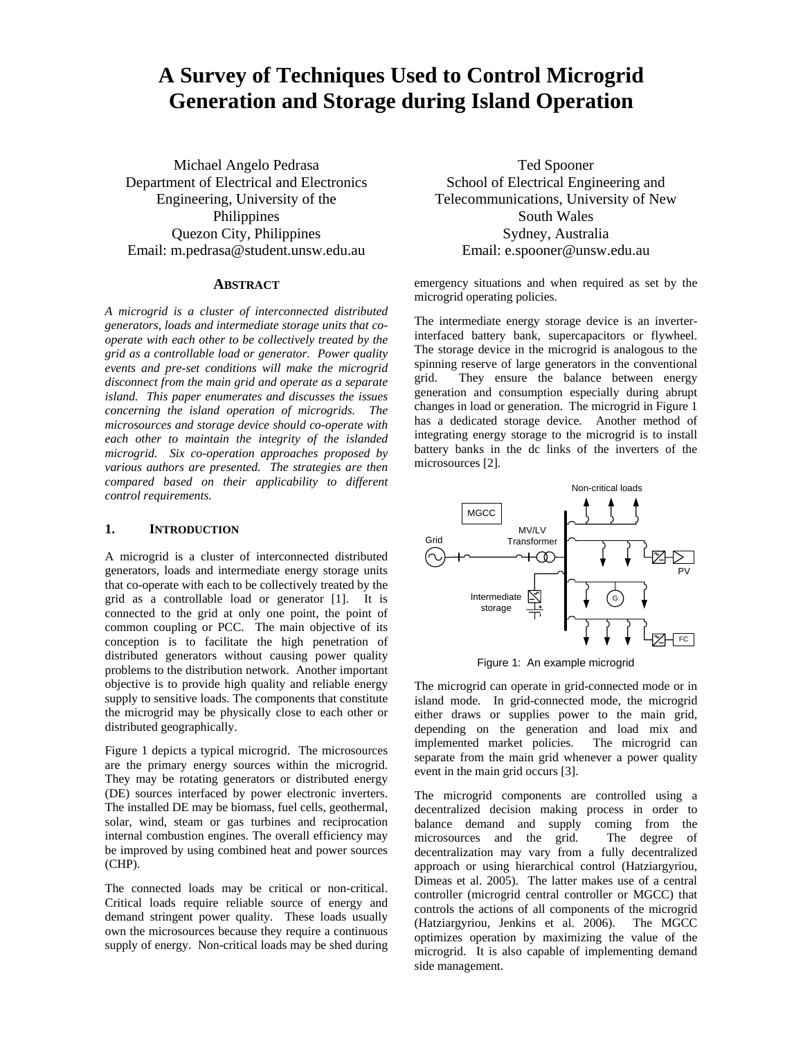# **A Survey of Techniques Used to Control Microgrid Generation and Storage during Island Operation**

Michael Angelo Pedrasa Department of Electrical and Electronics Engineering, University of the Philippines Quezon City, Philippines Email: m.pedrasa@student.unsw.edu.au

## **ABSTRACT**

*A microgrid is a cluster of interconnected distributed generators, loads and intermediate storage units that cooperate with each other to be collectively treated by the grid as a controllable load or generator. Power quality events and pre-set conditions will make the microgrid disconnect from the main grid and operate as a separate island. This paper enumerates and discusses the issues concerning the island operation of microgrids. The microsources and storage device should co-operate with each other to maintain the integrity of the islanded microgrid. Six co-operation approaches proposed by various authors are presented. The strategies are then compared based on their applicability to different control requirements.* 

## **1. INTRODUCTION**

A microgrid is a cluster of interconnected distributed generators, loads and intermediate energy storage units that co-operate with each to be collectively treated by the grid as a controllable load or generator [1]. It is connected to the grid at only one point, the point of common coupling or PCC. The main objective of its conception is to facilitate the high penetration of distributed generators without causing power quality problems to the distribution network. Another important objective is to provide high quality and reliable energy supply to sensitive loads. The components that constitute the microgrid may be physically close to each other or distributed geographically.

Figure 1 depicts a typical microgrid. The microsources are the primary energy sources within the microgrid. They may be rotating generators or distributed energy (DE) sources interfaced by power electronic inverters. The installed DE may be biomass, fuel cells, geothermal, solar, wind, steam or gas turbines and reciprocation internal combustion engines. The overall efficiency may be improved by using combined heat and power sources (CHP).

The connected loads may be critical or non-critical. Critical loads require reliable source of energy and demand stringent power quality. These loads usually own the microsources because they require a continuous supply of energy. Non-critical loads may be shed during

Ted Spooner School of Electrical Engineering and Telecommunications, University of New South Wales Sydney, Australia Email: e.spooner@unsw.edu.au

emergency situations and when required as set by the microgrid operating policies.

The intermediate energy storage device is an inverterinterfaced battery bank, supercapacitors or flywheel. The storage device in the microgrid is analogous to the spinning reserve of large generators in the conventional grid. They ensure the balance between energy generation and consumption especially during abrupt changes in load or generation. The microgrid in Figure 1 has a dedicated storage device. Another method of integrating energy storage to the microgrid is to install battery banks in the dc links of the inverters of the microsources [2].



Figure 1: An example microgrid

The microgrid can operate in grid-connected mode or in island mode. In grid-connected mode, the microgrid either draws or supplies power to the main grid, depending on the generation and load mix and<br>implemented market policies. The microgrid can implemented market policies. separate from the main grid whenever a power quality event in the main grid occurs [3].

The microgrid components are controlled using a decentralized decision making process in order to balance demand and supply coming from the microsources and the grid. The degree of decentralization may vary from a fully decentralized approach or using hierarchical control (Hatziargyriou, Dimeas et al. 2005). The latter makes use of a central controller (microgrid central controller or MGCC) that controls the actions of all components of the microgrid (Hatziargyriou, Jenkins et al. 2006). The MGCC optimizes operation by maximizing the value of the microgrid. It is also capable of implementing demand side management.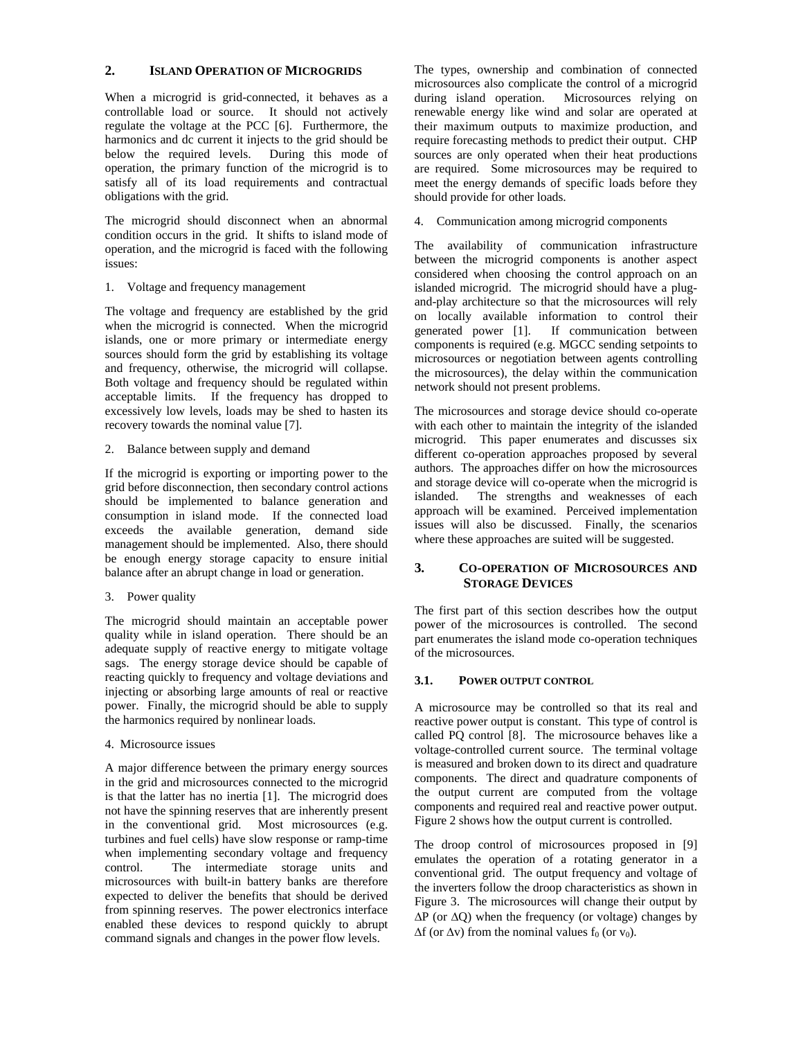## **2. ISLAND OPERATION OF MICROGRIDS**

When a microgrid is grid-connected, it behaves as a controllable load or source. It should not actively regulate the voltage at the PCC [6]. Furthermore, the harmonics and dc current it injects to the grid should be below the required levels. During this mode of operation, the primary function of the microgrid is to satisfy all of its load requirements and contractual obligations with the grid.

The microgrid should disconnect when an abnormal condition occurs in the grid. It shifts to island mode of operation, and the microgrid is faced with the following issues:

1. Voltage and frequency management

The voltage and frequency are established by the grid when the microgrid is connected. When the microgrid islands, one or more primary or intermediate energy sources should form the grid by establishing its voltage and frequency, otherwise, the microgrid will collapse. Both voltage and frequency should be regulated within acceptable limits. If the frequency has dropped to excessively low levels, loads may be shed to hasten its recovery towards the nominal value [7].

2. Balance between supply and demand

If the microgrid is exporting or importing power to the grid before disconnection, then secondary control actions should be implemented to balance generation and consumption in island mode. If the connected load exceeds the available generation, demand side management should be implemented. Also, there should be enough energy storage capacity to ensure initial balance after an abrupt change in load or generation.

## 3. Power quality

The microgrid should maintain an acceptable power quality while in island operation. There should be an adequate supply of reactive energy to mitigate voltage sags. The energy storage device should be capable of reacting quickly to frequency and voltage deviations and injecting or absorbing large amounts of real or reactive power. Finally, the microgrid should be able to supply the harmonics required by nonlinear loads.

## 4. Microsource issues

A major difference between the primary energy sources in the grid and microsources connected to the microgrid is that the latter has no inertia [1]. The microgrid does not have the spinning reserves that are inherently present in the conventional grid. Most microsources (e.g. turbines and fuel cells) have slow response or ramp-time when implementing secondary voltage and frequency control. The intermediate storage units and microsources with built-in battery banks are therefore expected to deliver the benefits that should be derived from spinning reserves. The power electronics interface enabled these devices to respond quickly to abrupt command signals and changes in the power flow levels.

The types, ownership and combination of connected microsources also complicate the control of a microgrid during island operation. Microsources relying on renewable energy like wind and solar are operated at their maximum outputs to maximize production, and require forecasting methods to predict their output. CHP sources are only operated when their heat productions are required. Some microsources may be required to meet the energy demands of specific loads before they should provide for other loads.

4. Communication among microgrid components

The availability of communication infrastructure between the microgrid components is another aspect considered when choosing the control approach on an islanded microgrid. The microgrid should have a plugand-play architecture so that the microsources will rely on locally available information to control their generated power [1]. If communication between components is required (e.g. MGCC sending setpoints to microsources or negotiation between agents controlling the microsources), the delay within the communication network should not present problems.

The microsources and storage device should co-operate with each other to maintain the integrity of the islanded microgrid. This paper enumerates and discusses six different co-operation approaches proposed by several authors. The approaches differ on how the microsources and storage device will co-operate when the microgrid is islanded. The strengths and weaknesses of each approach will be examined. Perceived implementation issues will also be discussed. Finally, the scenarios where these approaches are suited will be suggested.

## **3. CO-OPERATION OF MICROSOURCES AND STORAGE DEVICES**

The first part of this section describes how the output power of the microsources is controlled. The second part enumerates the island mode co-operation techniques of the microsources.

## **3.1. POWER OUTPUT CONTROL**

A microsource may be controlled so that its real and reactive power output is constant. This type of control is called PQ control [8]. The microsource behaves like a voltage-controlled current source. The terminal voltage is measured and broken down to its direct and quadrature components. The direct and quadrature components of the output current are computed from the voltage components and required real and reactive power output. Figure 2 shows how the output current is controlled.

The droop control of microsources proposed in [9] emulates the operation of a rotating generator in a conventional grid. The output frequency and voltage of the inverters follow the droop characteristics as shown in Figure 3. The microsources will change their output by  $\Delta P$  (or  $\Delta Q$ ) when the frequency (or voltage) changes by  $\Delta f$  (or  $\Delta v$ ) from the nominal values  $f_0$  (or v<sub>0</sub>).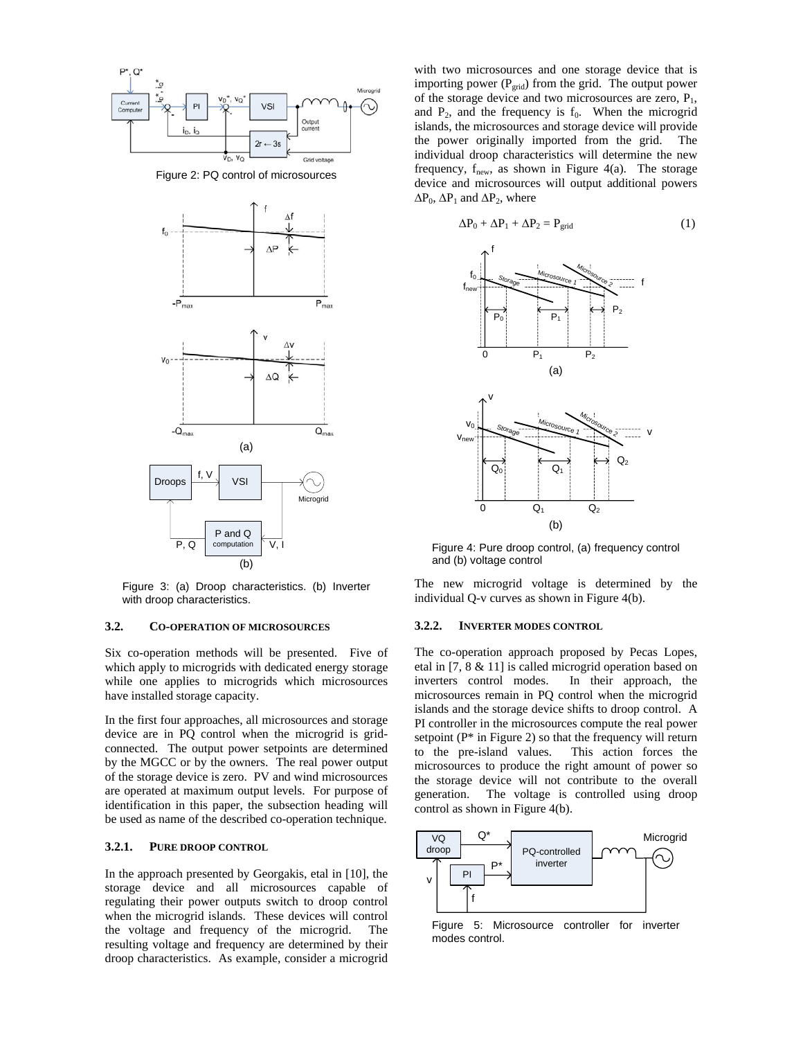

Figure 2: PQ control of microsources



Figure 3: (a) Droop characteristics. (b) Inverter with droop characteristics.

## **3.2. CO-OPERATION OF MICROSOURCES**

Six co-operation methods will be presented. Five of which apply to microgrids with dedicated energy storage while one applies to microgrids which microsources have installed storage capacity.

In the first four approaches, all microsources and storage device are in PQ control when the microgrid is gridconnected. The output power setpoints are determined by the MGCC or by the owners. The real power output of the storage device is zero. PV and wind microsources are operated at maximum output levels. For purpose of identification in this paper, the subsection heading will be used as name of the described co-operation technique.

#### **3.2.1. PURE DROOP CONTROL**

In the approach presented by Georgakis, etal in [10], the storage device and all microsources capable of regulating their power outputs switch to droop control when the microgrid islands. These devices will control the voltage and frequency of the microgrid. The resulting voltage and frequency are determined by their droop characteristics. As example, consider a microgrid

with two microsources and one storage device that is importing power ( $P_{grid}$ ) from the grid. The output power of the storage device and two microsources are zero,  $P_1$ , and  $P_2$ , and the frequency is  $f_0$ . When the microgrid islands, the microsources and storage device will provide the power originally imported from the grid. The individual droop characteristics will determine the new frequency,  $f_{\text{new}}$ , as shown in Figure 4(a). The storage device and microsources will output additional powers  $\Delta P_0$ ,  $\Delta P_1$  and  $\Delta P_2$ , where



Figure 4: Pure droop control, (a) frequency control and (b) voltage control

The new microgrid voltage is determined by the individual Q-v curves as shown in Figure 4(b).

#### **3.2.2. INVERTER MODES CONTROL**

The co-operation approach proposed by Pecas Lopes, etal in [7, 8 & 11] is called microgrid operation based on inverters control modes. In their approach, the microsources remain in PQ control when the microgrid islands and the storage device shifts to droop control. A PI controller in the microsources compute the real power setpoint  $(P^*$  in Figure 2) so that the frequency will return to the pre-island values. This action forces the microsources to produce the right amount of power so the storage device will not contribute to the overall generation. The voltage is controlled using droop control as shown in Figure 4(b).



Figure 5: Microsource controller for inverter modes control.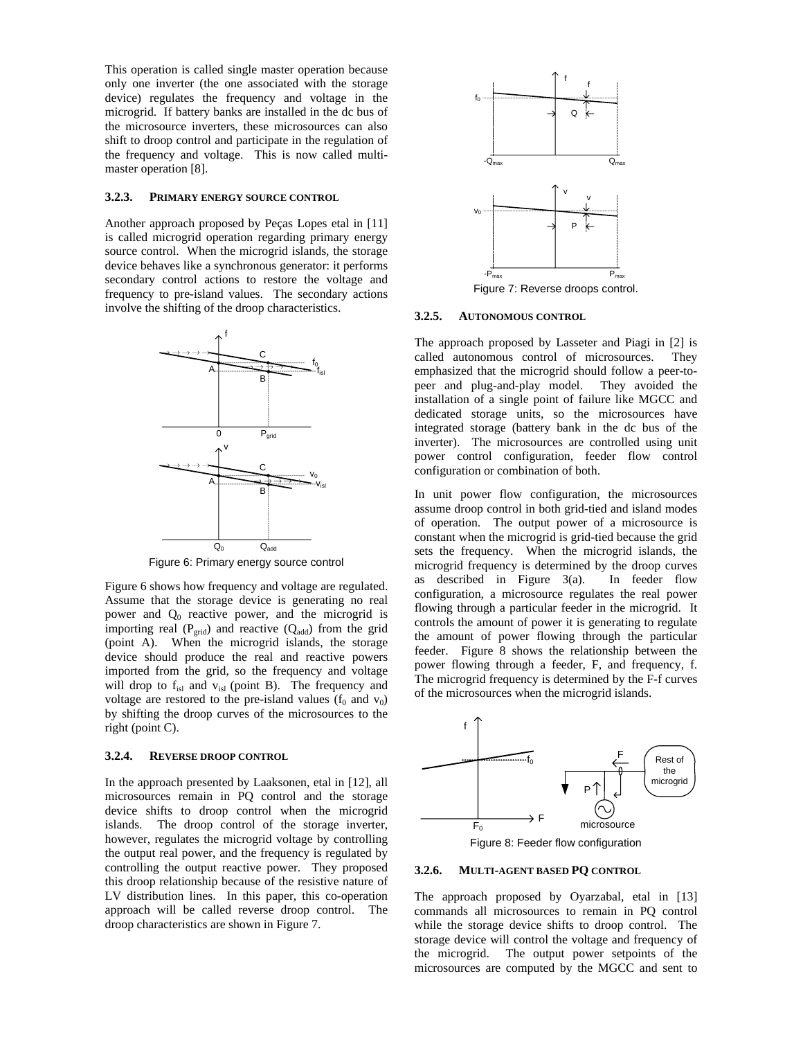This operation is called single master operation because only one inverter (the one associated with the storage device) regulates the frequency and voltage in the microgrid. If battery banks are installed in the dc bus of the microsource inverters, these microsources can also shift to droop control and participate in the regulation of the frequency and voltage. This is now called multimaster operation [8].

#### **3.2.3. PRIMARY ENERGY SOURCE CONTROL**

Another approach proposed by Peças Lopes etal in [11] is called microgrid operation regarding primary energy source control. When the microgrid islands, the storage device behaves like a synchronous generator: it performs secondary control actions to restore the voltage and frequency to pre-island values. The secondary actions involve the shifting of the droop characteristics.



Figure 6: Primary energy source control

Figure 6 shows how frequency and voltage are regulated. Assume that the storage device is generating no real power and  $Q_0$  reactive power, and the microgrid is importing real ( $P_{grid}$ ) and reactive ( $Q_{add}$ ) from the grid (point A). When the microgrid islands, the storage device should produce the real and reactive powers imported from the grid, so the frequency and voltage will drop to  $f_{isl}$  and  $v_{isl}$  (point B). The frequency and voltage are restored to the pre-island values  $(f_0 \text{ and } v_0)$ by shifting the droop curves of the microsources to the right (point C).

## **3.2.4. REVERSE DROOP CONTROL**

In the approach presented by Laaksonen, etal in [12], all microsources remain in PQ control and the storage device shifts to droop control when the microgrid islands. The droop control of the storage inverter, however, regulates the microgrid voltage by controlling the output real power, and the frequency is regulated by controlling the output reactive power. They proposed this droop relationship because of the resistive nature of LV distribution lines. In this paper, this co-operation approach will be called reverse droop control. The droop characteristics are shown in Figure 7.



Figure 7: Reverse droops control.

## **3.2.5. AUTONOMOUS CONTROL**

The approach proposed by Lasseter and Piagi in [2] is called autonomous control of microsources. They emphasized that the microgrid should follow a peer-topeer and plug-and-play model. They avoided the installation of a single point of failure like MGCC and dedicated storage units, so the microsources have integrated storage (battery bank in the dc bus of the inverter). The microsources are controlled using unit power control configuration, feeder flow control configuration or combination of both.

In unit power flow configuration, the microsources assume droop control in both grid-tied and island modes of operation. The output power of a microsource is constant when the microgrid is grid-tied because the grid sets the frequency. When the microgrid islands, the microgrid frequency is determined by the droop curves as described in Figure 3(a). In feeder flow configuration, a microsource regulates the real power flowing through a particular feeder in the microgrid. It controls the amount of power it is generating to regulate the amount of power flowing through the particular feeder. Figure 8 shows the relationship between the power flowing through a feeder, F, and frequency, f. The microgrid frequency is determined by the F-f curves of the microsources when the microgrid islands.



#### **3.2.6. MULTI-AGENT BASED PQ CONTROL**

The approach proposed by Oyarzabal, etal in [13] commands all microsources to remain in PQ control while the storage device shifts to droop control. The storage device will control the voltage and frequency of the microgrid. The output power setpoints of the microsources are computed by the MGCC and sent to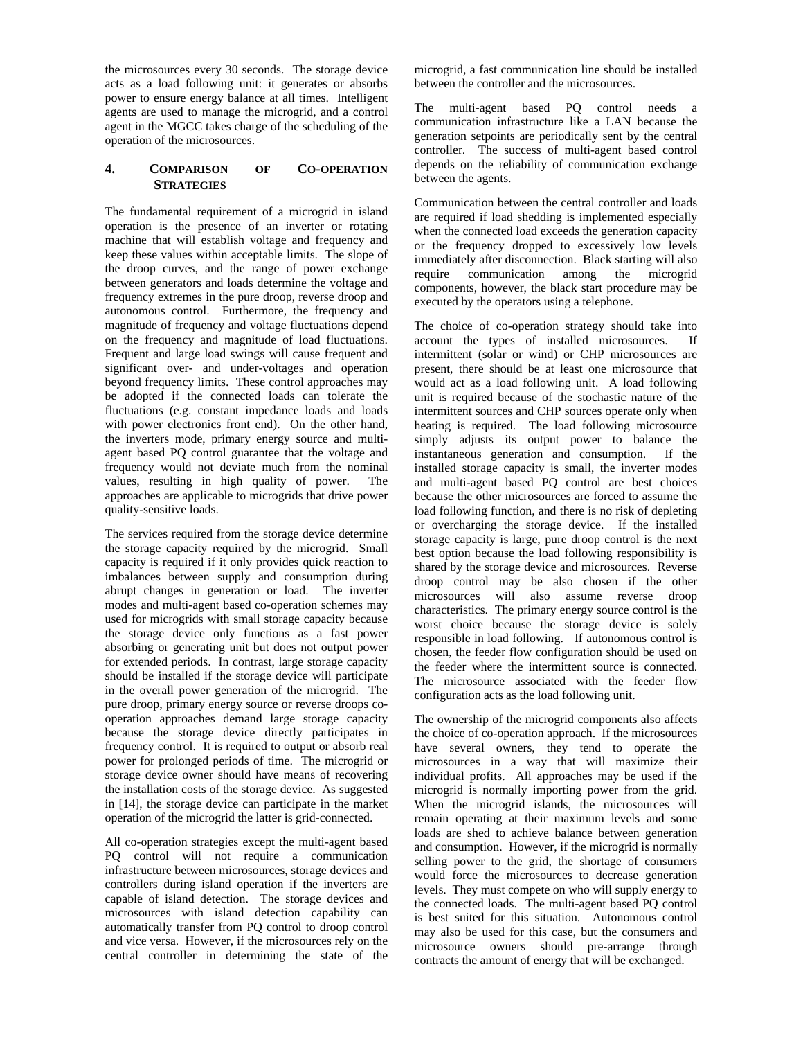the microsources every 30 seconds. The storage device acts as a load following unit: it generates or absorbs power to ensure energy balance at all times. Intelligent agents are used to manage the microgrid, and a control agent in the MGCC takes charge of the scheduling of the operation of the microsources.

# **4. COMPARISON OF CO-OPERATION STRATEGIES**

The fundamental requirement of a microgrid in island operation is the presence of an inverter or rotating machine that will establish voltage and frequency and keep these values within acceptable limits. The slope of the droop curves, and the range of power exchange between generators and loads determine the voltage and frequency extremes in the pure droop, reverse droop and autonomous control. Furthermore, the frequency and magnitude of frequency and voltage fluctuations depend on the frequency and magnitude of load fluctuations. Frequent and large load swings will cause frequent and significant over- and under-voltages and operation beyond frequency limits. These control approaches may be adopted if the connected loads can tolerate the fluctuations (e.g. constant impedance loads and loads with power electronics front end). On the other hand, the inverters mode, primary energy source and multiagent based PQ control guarantee that the voltage and frequency would not deviate much from the nominal values, resulting in high quality of power. The approaches are applicable to microgrids that drive power quality-sensitive loads.

The services required from the storage device determine the storage capacity required by the microgrid. Small capacity is required if it only provides quick reaction to imbalances between supply and consumption during abrupt changes in generation or load. The inverter modes and multi-agent based co-operation schemes may used for microgrids with small storage capacity because the storage device only functions as a fast power absorbing or generating unit but does not output power for extended periods. In contrast, large storage capacity should be installed if the storage device will participate in the overall power generation of the microgrid. The pure droop, primary energy source or reverse droops cooperation approaches demand large storage capacity because the storage device directly participates in frequency control. It is required to output or absorb real power for prolonged periods of time. The microgrid or storage device owner should have means of recovering the installation costs of the storage device. As suggested in [14], the storage device can participate in the market operation of the microgrid the latter is grid-connected.

All co-operation strategies except the multi-agent based PQ control will not require a communication infrastructure between microsources, storage devices and controllers during island operation if the inverters are capable of island detection. The storage devices and microsources with island detection capability can automatically transfer from PQ control to droop control and vice versa. However, if the microsources rely on the central controller in determining the state of the microgrid, a fast communication line should be installed between the controller and the microsources.

The multi-agent based PQ control needs a communication infrastructure like a LAN because the generation setpoints are periodically sent by the central controller. The success of multi-agent based control depends on the reliability of communication exchange between the agents.

Communication between the central controller and loads are required if load shedding is implemented especially when the connected load exceeds the generation capacity or the frequency dropped to excessively low levels immediately after disconnection. Black starting will also require communication among the microgrid components, however, the black start procedure may be executed by the operators using a telephone.

The choice of co-operation strategy should take into account the types of installed microsources. If intermittent (solar or wind) or CHP microsources are present, there should be at least one microsource that would act as a load following unit. A load following unit is required because of the stochastic nature of the intermittent sources and CHP sources operate only when heating is required. The load following microsource simply adjusts its output power to balance the instantaneous generation and consumption. If the installed storage capacity is small, the inverter modes and multi-agent based PQ control are best choices because the other microsources are forced to assume the load following function, and there is no risk of depleting or overcharging the storage device. If the installed storage capacity is large, pure droop control is the next best option because the load following responsibility is shared by the storage device and microsources. Reverse droop control may be also chosen if the other microsources will also assume reverse droop characteristics. The primary energy source control is the worst choice because the storage device is solely responsible in load following. If autonomous control is chosen, the feeder flow configuration should be used on the feeder where the intermittent source is connected. The microsource associated with the feeder flow configuration acts as the load following unit.

The ownership of the microgrid components also affects the choice of co-operation approach. If the microsources have several owners, they tend to operate the microsources in a way that will maximize their individual profits. All approaches may be used if the microgrid is normally importing power from the grid. When the microgrid islands, the microsources will remain operating at their maximum levels and some loads are shed to achieve balance between generation and consumption. However, if the microgrid is normally selling power to the grid, the shortage of consumers would force the microsources to decrease generation levels. They must compete on who will supply energy to the connected loads. The multi-agent based PQ control is best suited for this situation. Autonomous control may also be used for this case, but the consumers and microsource owners should pre-arrange through contracts the amount of energy that will be exchanged.